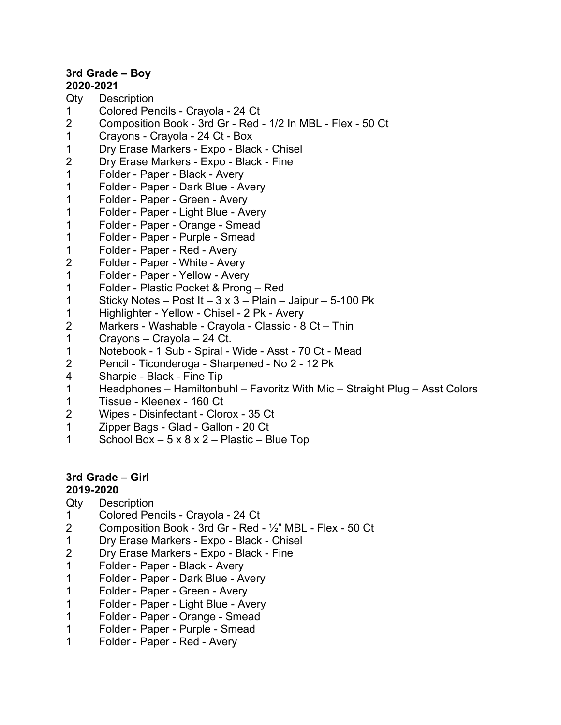## **3rd Grade – Boy**

## **2020-2021**

- Qty Description
- 1 Colored Pencils Crayola 24 Ct
- 2 Composition Book 3rd Gr Red 1/2 In MBL Flex 50 Ct
- 1 Crayons Crayola 24 Ct Box
- 1 Dry Erase Markers Expo Black Chisel
- 2 Dry Erase Markers Expo Black Fine
- 1 Folder Paper Black Avery
- 1 Folder Paper Dark Blue Avery
- 1 Folder Paper Green Avery
- 1 Folder Paper Light Blue Avery
- 1 Folder Paper Orange Smead
- 1 Folder Paper Purple Smead
- 1 Folder Paper Red Avery
- 2 Folder Paper White Avery
- 1 Folder Paper Yellow Avery
- 1 Folder Plastic Pocket & Prong Red
- 1 Sticky Notes Post It  $3 \times 3$  Plain Jaipur 5-100 Pk
- 1 Highlighter Yellow Chisel 2 Pk Avery
- 2 Markers Washable Crayola Classic 8 Ct Thin
- 1 Crayons Crayola 24 Ct.
- 1 Notebook 1 Sub Spiral Wide Asst 70 Ct Mead
- 2 Pencil Ticonderoga Sharpened No 2 12 Pk
- 4 Sharpie Black Fine Tip
- 1 Headphones Hamiltonbuhl Favoritz With Mic Straight Plug Asst Colors
- 1 Tissue Kleenex 160 Ct
- 2 Wipes Disinfectant Clorox 35 Ct
- 1 Zipper Bags Glad Gallon 20 Ct
- 1 School Box 5 x 8 x 2 Plastic Blue Top

## **3rd Grade – Girl**

## **2019-2020**

- Qty Description
- 1 Colored Pencils Crayola 24 Ct
- 2 Composition Book 3rd Gr Red ½" MBL Flex 50 Ct
- 1 Dry Erase Markers Expo Black Chisel
- 2 Dry Erase Markers Expo Black Fine
- 1 Folder Paper Black Avery
- 1 Folder Paper Dark Blue Avery
- 1 Folder Paper Green Avery
- 1 Folder Paper Light Blue Avery
- 1 Folder Paper Orange Smead
- 1 Folder Paper Purple Smead
- 1 Folder Paper Red Avery